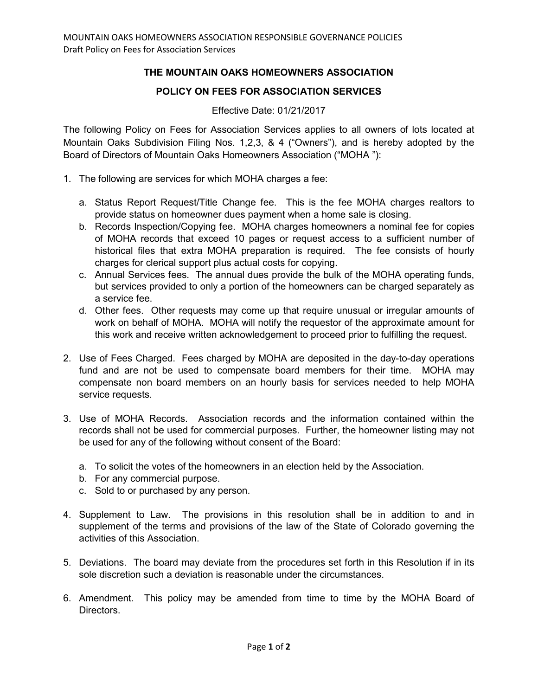## **THE MOUNTAIN OAKS HOMEOWNERS ASSOCIATION**

## **POLICY ON FEES FOR ASSOCIATION SERVICES**

## Effective Date: 01/21/2017

The following Policy on Fees for Association Services applies to all owners of lots located at Mountain Oaks Subdivision Filing Nos. 1,2,3, & 4 ("Owners"), and is hereby adopted by the Board of Directors of Mountain Oaks Homeowners Association ("MOHA "):

- 1. The following are services for which MOHA charges a fee:
	- a. Status Report Request/Title Change fee. This is the fee MOHA charges realtors to provide status on homeowner dues payment when a home sale is closing.
	- b. Records Inspection/Copying fee. MOHA charges homeowners a nominal fee for copies of MOHA records that exceed 10 pages or request access to a sufficient number of historical files that extra MOHA preparation is required. The fee consists of hourly charges for clerical support plus actual costs for copying.
	- c. Annual Services fees. The annual dues provide the bulk of the MOHA operating funds, but services provided to only a portion of the homeowners can be charged separately as a service fee.
	- d. Other fees. Other requests may come up that require unusual or irregular amounts of work on behalf of MOHA. MOHA will notify the requestor of the approximate amount for this work and receive written acknowledgement to proceed prior to fulfilling the request.
- 2. Use of Fees Charged. Fees charged by MOHA are deposited in the day-to-day operations fund and are not be used to compensate board members for their time. MOHA may compensate non board members on an hourly basis for services needed to help MOHA service requests.
- 3. Use of MOHA Records. Association records and the information contained within the records shall not be used for commercial purposes. Further, the homeowner listing may not be used for any of the following without consent of the Board:
	- a. To solicit the votes of the homeowners in an election held by the Association.
	- b. For any commercial purpose.
	- c. Sold to or purchased by any person.
- 4. Supplement to Law. The provisions in this resolution shall be in addition to and in supplement of the terms and provisions of the law of the State of Colorado governing the activities of this Association.
- 5. Deviations. The board may deviate from the procedures set forth in this Resolution if in its sole discretion such a deviation is reasonable under the circumstances.
- 6. Amendment. This policy may be amended from time to time by the MOHA Board of Directors.